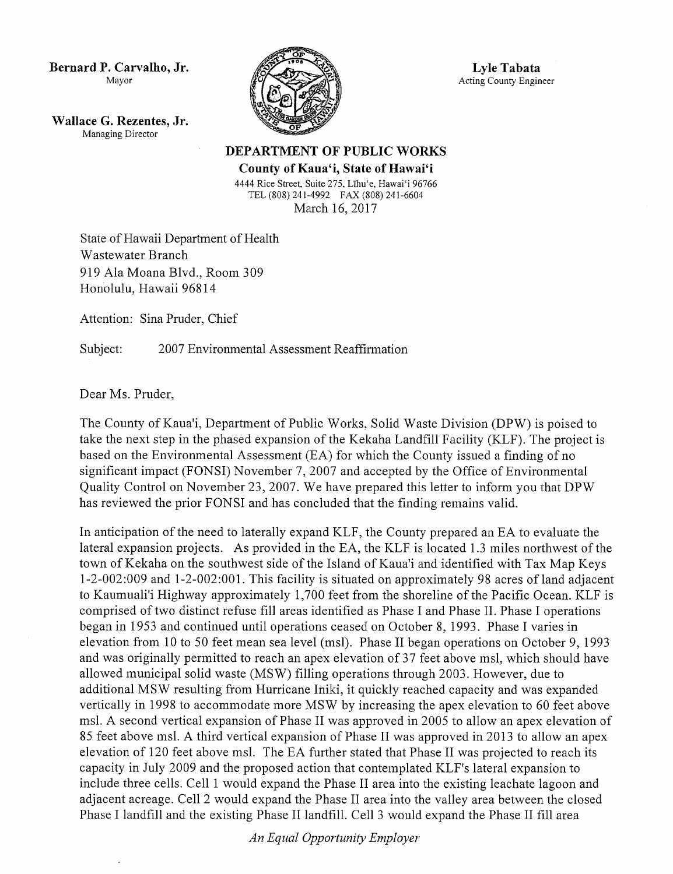Bernard P. Carvalho, Jr. Mayor

Wallace G. Rezentes, Jr. Managing Director



Lyle Tabata Acting County Engineer

DEPARTMENT OF PUBLIC WORKS

County of Kaua'i, State of Hawai'i 4444 Rice Street, Suite 275, Līhu'e, Hawai'i 96766 TEL (808) 241 -4992 FAX (808) 241 -6604 March 16, 2017

State of Hawaii Department of Health Wastewater Branch 919 Ala Moana Blvd., Room 309 Honolulu, Hawaii 96814

Attention: Sina Pruder, Chief

Subject: 2007 Environmental Assessment Reaffirmation

Dear Ms. Pruder,

The County of Kaua'i, Department of Public Works, Solid Waste Division (DPW) is poised to take the next step in the phased expansion of the Kekaha Landfill Facility (KLF). The project is based on the Environmental Assessment (EA) for which the County issued <sup>a</sup> finding of no significant impact (FONSI) November 7, 2007 and accepted by the Office of Environmental Quality Control on November 23, 2007. We have prepared this letter to inform you that DPW has reviewed the prior FONSI and has concluded that the finding remains valid.

In anticipation of the need to laterally expand KLF, the County prepared an EA to evaluate the lateral expansion projects. As provided in the EA, the KLF is located 1.3 miles northwest of the town of Kekaha on the southwest side of the Island of Kaua'i and identified with Tax Map Keys 1 - 2- 002: 009 and 1 - 2- 002: 001. This facility is situated on approximately 98 acres of land adjacent to Kaumuali'i Highway approximately 1,700 feet from the shoreline of the Pacific Ocean. KLF is comprised of two distinct refuse fill areas identified as Phase I and Phase I1. Phase I operations began in 1953 and continued until operations ceased on October 8, 1993. Phase I varies in elevation from 10 to 50 feet mean sea level (msl). Phase II began operations on October 9, 1993 and was originally permitted to reach an apex elevation of 37 feet above msl, which should have allowed municipal solid waste ( MSW) filling operations through 2003. However, due to additional MSW resulting from Hurricane Iniki, it quickly reached capacity and was expanded vertically in 1998 to accommodate more MSW by increasing the apex elevation to 60 feet above msl. A second vertical expansion of Phase II was approved in 2005 to allow an apex elevation of <sup>85</sup> feet above msl. A third vertical expansion of Phase II was approved in 2013 to allow an apex elevation of 120 feet above msl. The EA further stated that Phase II was projected to reach its capacity in July 2009 and the proposed action that contemplated KLF's lateral expansion to include three cells. Cell <sup>1</sup> would expand the Phase II area into the existing leachate lagoon and adjacent acreage. Cell 2 would expand the Phase II area into the valley area between the closed Phase I landfill and the existing Phase I1 landfill. Cell <sup>3</sup> would expand the Phase II fill area

An Equal Opportunity Employer